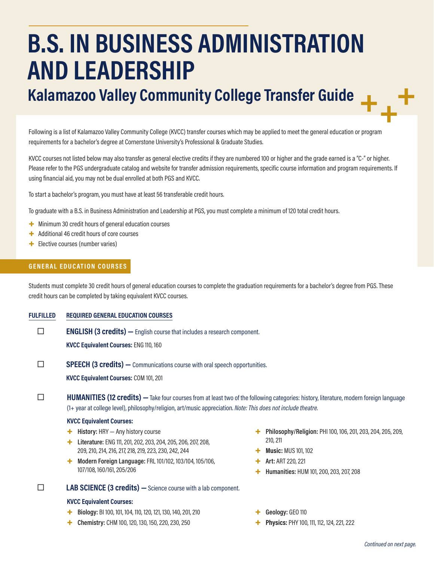# **B.S. IN BUSINESS ADMINISTRATION AND LEADERSHIP**

## **Kalamazoo Valley Community College Transfer Guide**

Following is a list of Kalamazoo Valley Community College (KVCC) transfer courses which may be applied to meet the general education or program requirements for a bachelor's degree at Cornerstone University's Professional & Graduate Studies.

KVCC courses not listed below may also transfer as general elective credits if they are numbered 100 or higher and the grade earned is a "C-" or higher. Please refer to the PGS undergraduate catalog and website for transfer admission requirements, specific course information and program requirements. If using financial aid, you may not be dual enrolled at both PGS and KVCC.

To start a bachelor's program, you must have at least 56 transferable credit hours.

To graduate with a B.S. in Business Administration and Leadership at PGS, you must complete a minimum of 120 total credit hours.

- + Minimum 30 credit hours of general education courses
- + Additional 46 credit hours of core courses
- + Elective courses (number varies)

#### **GENERAL EDUCATION COURSES**

Students must complete 30 credit hours of general education courses to complete the graduation requirements for a bachelor's degree from PGS. These credit hours can be completed by taking equivalent KVCC courses.

**FULFILLED REQUIRED GENERAL EDUCATION COURSES**

**ENGLISH (3 credits)** — English course that includes a research component. **KVCC Equivalent Courses:** ENG 110, 160

**SPEECH (3 credits)** — Communications course with oral speech opportunities.

**KVCC Equivalent Courses:** COM 101, 201

**HUMANITIES (12 credits)** — Take four courses from at least two of the following categories: history, literature, modern foreign language (1+ year at college level), philosophy/religion, art/music appreciation. *Note: This does not include theatre.*

#### **KVCC Equivalent Courses:**

- + **History:** HRY Any history course
- + **Literature:** ENG 111, 201, 202, 203, 204, 205, 206, 207, 208, 209, 210, 214, 216, 217, 218, 219, 223, 230, 242, 244
- + **Modern Foreign Language:** FRL 101/102, 103/104, 105/106, 107/108, 160/161, 205/206

**LAB SCIENCE (3 credits)** - Science course with a lab component.

#### **KVCC Equivalent Courses:**

- + **Biology:** BI 100, 101, 104, 110, 120, 121, 130, 140, 201, 210
- + **Chemistry:** CHM 100, 120, 130, 150, 220, 230, 250
- + **Philosophy/Religion:** PHI 100, 106, 201, 203, 204, 205, 209, 210, 211
- + **Music:** MUS 101, 102
- + **Art:** ART 220, 221
- + **Humanities:** HUM 101, 200, 203, 207, 208
- + **Geology:** GEO 110
- Physics: PHY 100, 111, 112, 124, 221, 222